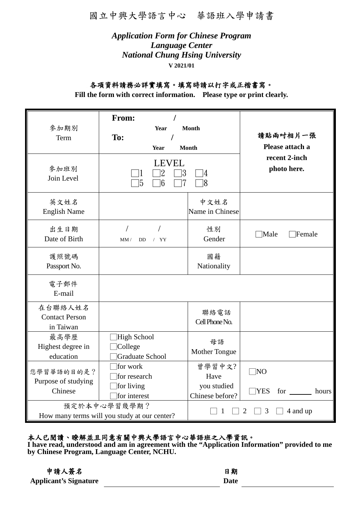國立中興大學語言中心 華語班入學申請書

# *Application Form for Chinese Program Language Center National Chung Hsing University* **V 2021/01**

# 各項資料請務必詳實填寫。填寫時請以打字或正楷書寫。

**Fill the form with correct information. Please type or print clearly.**

| 參加期別<br>Term<br>參加班別<br>Join Level            | From:<br><b>Year</b><br>To:<br>Year<br><b>LEVEL</b><br>3     | <b>Month</b><br><b>Month</b><br>$ 4\rangle$      | 請貼兩吋相片一張<br>Please attach a<br>recent 2-inch<br>photo here. |
|-----------------------------------------------|--------------------------------------------------------------|--------------------------------------------------|-------------------------------------------------------------|
| 英文姓名<br><b>English Name</b>                   | $6\phantom{.}6$<br>15<br>7                                   | 18<br>中文姓名<br>Name in Chinese                    |                                                             |
| 出生日期<br>Date of Birth                         | <b>DD</b><br>/YY<br>MM/                                      | 性別<br>Gender                                     | Male<br>Female                                              |
| 護照號碼<br>Passport No.                          |                                                              | 國籍<br>Nationality                                |                                                             |
| 電子郵件<br>E-mail                                |                                                              |                                                  |                                                             |
| 在台聯絡人姓名<br><b>Contact Person</b><br>in Taiwan |                                                              | 聯絡電話<br>Cell Phone No.                           |                                                             |
| 最高學歷<br>Highest degree in<br>education        | High School<br>College<br><b>Graduate School</b>             | 母語<br>Mother Tongue                              |                                                             |
| 您學習華語的目的是?<br>Purpose of studying<br>Chinese  | for work<br>for research<br>for living<br>for interest       | 曾學習中文?<br>Have<br>you studied<br>Chinese before? | $\neg$ NO<br><b>YES</b><br>for<br>hours                     |
|                                               | 預定於本中心學習幾學期?<br>How many terms will you study at our center? |                                                  | 3<br>4 and up<br>2                                          |

# 本人已閱讀、瞭解並且同意有關中興大學語言中心華語班之入學資訊。

**I have read, understood and am in agreement with the "Application Information" provided to me by Chinese Program, Language Center, NCHU.**

| 申請人簽名                        | 日期   |
|------------------------------|------|
| <b>Applicant's Signature</b> | Date |